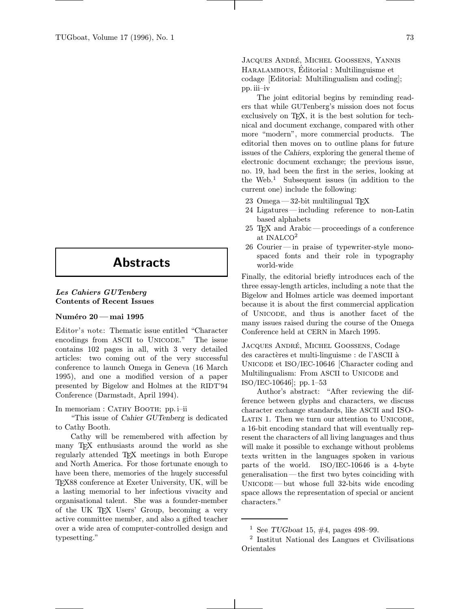## Abstracts

## Les Cahiers GUTenberg Contents of Recent Issues

## Numéro 20 — mai 1995

Editor's note: Thematic issue entitled "Character encodings from ASCII to UNICODE." The issue contains 102 pages in all, with 3 very detailed articles: two coming out of the very successful conference to launch Omega in Geneva (16 March 1995), and one a modified version of a paper presented by Bigelow and Holmes at the RIDT'94 Conference (Darmstadt, April 1994).

In memoriam : CATHY BOOTH; pp. i–ii

"This issue of Cahier GUTenberg is dedicated to Cathy Booth.

Cathy will be remembered with affection by many T<sub>EX</sub> enthusiasts around the world as she regularly attended T<sub>EX</sub> meetings in both Europe and North America. For those fortunate enough to have been there, memories of the hugely successful TEX88 conference at Exeter University, UK, will be a lasting memorial to her infectious vivacity and organisational talent. She was a founder-member of the UK TEX Users' Group, becoming a very active committee member, and also a gifted teacher over a wide area of computer-controlled design and typesetting."

JACQUES ANDRÉ, MICHEL GOOSSENS, YANNIS HARALAMBOUS, Editorial : Multilinguisme et codage [Editorial: Multilingualism and coding]; pp. iii–iv

The joint editorial begins by reminding readers that while GUTenberg's mission does not focus exclusively on T<sub>EX</sub>, it is the best solution for technical and document exchange, compared with other more "modern", more commercial products. The editorial then moves on to outline plans for future issues of the Cahiers, exploring the general theme of electronic document exchange; the previous issue, no. 19, had been the first in the series, looking at the Web.<sup>1</sup> Subsequent issues (in addition to the current one) include the following:

- 23 Omega  $-32$ -bit multilingual T<sub>F</sub>X
- 24 Ligatures—including reference to non-Latin based alphabets
- 25 TEX and Arabic—proceedings of a conference at INALCO<sup>2</sup>
- 26 Courier—in praise of typewriter-style monospaced fonts and their role in typography world-wide

Finally, the editorial briefly introduces each of the three essay-length articles, including a note that the Bigelow and Holmes article was deemed important because it is about the first commercial application of Unicode, and thus is another facet of the many issues raised during the course of the Omega Conference held at CERN in March 1995.

JACQUES ANDRÉ, MICHEL GOOSSENS, Codage des caractères et multi-linguisme : de l'ASCII à Unicode et ISO/IEC-10646 [Character coding and Multilingualism: From ASCII to UNICODE and ISO/IEC-10646]; pp.1–53

Author's abstract: "After reviewing the difference between glyphs and characters, we discuss character exchange standards, like ASCII and ISO-LATIN 1. Then we turn our attention to UNICODE, a 16-bit encoding standard that will eventually represent the characters of all living languages and thus will make it possible to exchange without problems texts written in the languages spoken in various parts of the world. ISO/IEC-10646 is a 4-byte generalisation—the first two bytes coinciding with  $UNCODE$ —but whose full 32-bits wide encoding space allows the representation of special or ancient characters."

<sup>&</sup>lt;sup>1</sup> See TUGboat 15,  $\#4$ , pages 498–99.

<sup>2</sup> Institut National des Langues et Civilisations Orientales